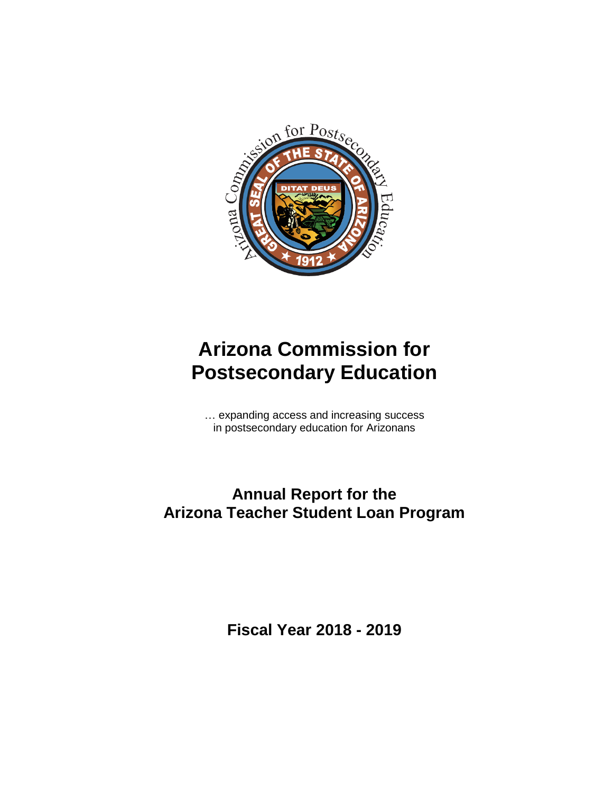

# **Arizona Commission for Postsecondary Education**

… expanding access and increasing success in postsecondary education for Arizonans

# **Annual Report for the Arizona Teacher Student Loan Program**

**Fiscal Year 2018 - 2019**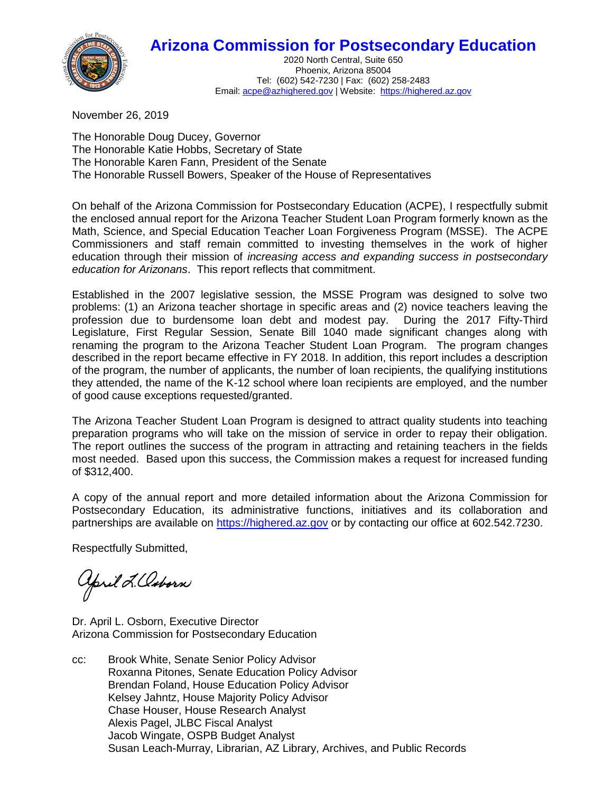# **Arizona Commission for Postsecondary Education**



2020 North Central, Suite 650 Phoenix, Arizona 85004 Tel: (602) 542-7230 | Fax: (602) 258-2483 Email[: acpe@azhighered.gov](mailto:acpe@azhighered.gov) | Website: [https://highered.az.gov](https://highered.az.gov/)

November 26, 2019

The Honorable Doug Ducey, Governor The Honorable Katie Hobbs, Secretary of State The Honorable Karen Fann, President of the Senate The Honorable Russell Bowers, Speaker of the House of Representatives

On behalf of the Arizona Commission for Postsecondary Education (ACPE), I respectfully submit the enclosed annual report for the Arizona Teacher Student Loan Program formerly known as the Math, Science, and Special Education Teacher Loan Forgiveness Program (MSSE). The ACPE Commissioners and staff remain committed to investing themselves in the work of higher education through their mission of *increasing access and expanding success in postsecondary education for Arizonans*. This report reflects that commitment.

Established in the 2007 legislative session, the MSSE Program was designed to solve two problems: (1) an Arizona teacher shortage in specific areas and (2) novice teachers leaving the profession due to burdensome loan debt and modest pay. During the 2017 Fifty-Third Legislature, First Regular Session, Senate Bill 1040 made significant changes along with renaming the program to the Arizona Teacher Student Loan Program. The program changes described in the report became effective in FY 2018. In addition, this report includes a description of the program, the number of applicants, the number of loan recipients, the qualifying institutions they attended, the name of the K-12 school where loan recipients are employed, and the number of good cause exceptions requested/granted.

The Arizona Teacher Student Loan Program is designed to attract quality students into teaching preparation programs who will take on the mission of service in order to repay their obligation. The report outlines the success of the program in attracting and retaining teachers in the fields most needed. Based upon this success, the Commission makes a request for increased funding of \$312,400.

A copy of the annual report and more detailed information about the Arizona Commission for Postsecondary Education, its administrative functions, initiatives and its collaboration and partnerships are available on [https://highered.az.gov](https://highered.az.gov/) or by contacting our office at 602.542.7230.

Respectfully Submitted,

april L. Caborn

Dr. April L. Osborn, Executive Director Arizona Commission for Postsecondary Education

cc: Brook White, Senate Senior Policy Advisor Roxanna Pitones, Senate Education Policy Advisor Brendan Foland, House Education Policy Advisor Kelsey Jahntz, House Majority Policy Advisor Chase Houser, House Research Analyst Alexis Pagel, JLBC Fiscal Analyst Jacob Wingate, OSPB Budget Analyst Susan Leach-Murray, Librarian, AZ Library, Archives, and Public Records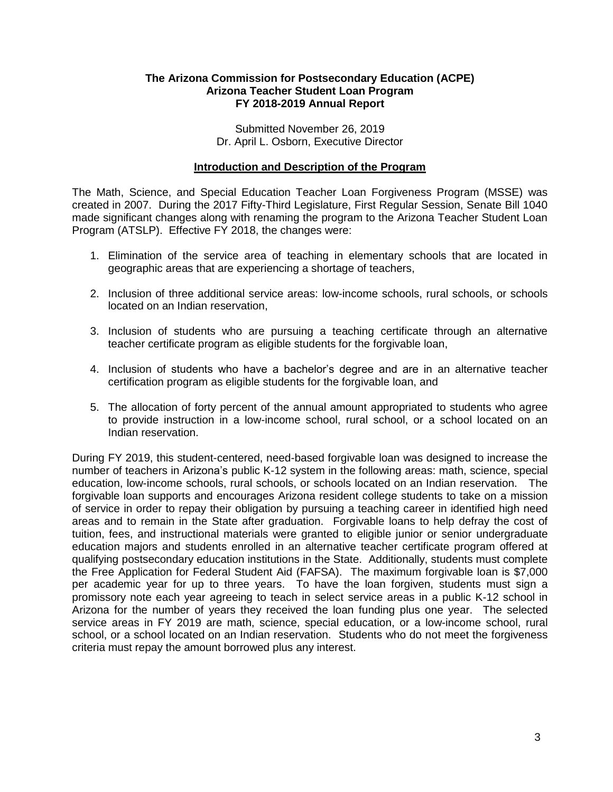#### **The Arizona Commission for Postsecondary Education (ACPE) Arizona Teacher Student Loan Program FY 2018-2019 Annual Report**

Submitted November 26, 2019 Dr. April L. Osborn, Executive Director

#### **Introduction and Description of the Program**

The Math, Science, and Special Education Teacher Loan Forgiveness Program (MSSE) was created in 2007. During the 2017 Fifty-Third Legislature, First Regular Session, Senate Bill 1040 made significant changes along with renaming the program to the Arizona Teacher Student Loan Program (ATSLP). Effective FY 2018, the changes were:

- 1. Elimination of the service area of teaching in elementary schools that are located in geographic areas that are experiencing a shortage of teachers,
- 2. Inclusion of three additional service areas: low-income schools, rural schools, or schools located on an Indian reservation,
- 3. Inclusion of students who are pursuing a teaching certificate through an alternative teacher certificate program as eligible students for the forgivable loan,
- 4. Inclusion of students who have a bachelor's degree and are in an alternative teacher certification program as eligible students for the forgivable loan, and
- 5. The allocation of forty percent of the annual amount appropriated to students who agree to provide instruction in a low-income school, rural school, or a school located on an Indian reservation.

During FY 2019, this student-centered, need-based forgivable loan was designed to increase the number of teachers in Arizona's public K-12 system in the following areas: math, science, special education, low-income schools, rural schools, or schools located on an Indian reservation. The forgivable loan supports and encourages Arizona resident college students to take on a mission of service in order to repay their obligation by pursuing a teaching career in identified high need areas and to remain in the State after graduation. Forgivable loans to help defray the cost of tuition, fees, and instructional materials were granted to eligible junior or senior undergraduate education majors and students enrolled in an alternative teacher certificate program offered at qualifying postsecondary education institutions in the State. Additionally, students must complete the Free Application for Federal Student Aid (FAFSA). The maximum forgivable loan is \$7,000 per academic year for up to three years. To have the loan forgiven, students must sign a promissory note each year agreeing to teach in select service areas in a public K-12 school in Arizona for the number of years they received the loan funding plus one year. The selected service areas in FY 2019 are math, science, special education, or a low-income school, rural school, or a school located on an Indian reservation. Students who do not meet the forgiveness criteria must repay the amount borrowed plus any interest.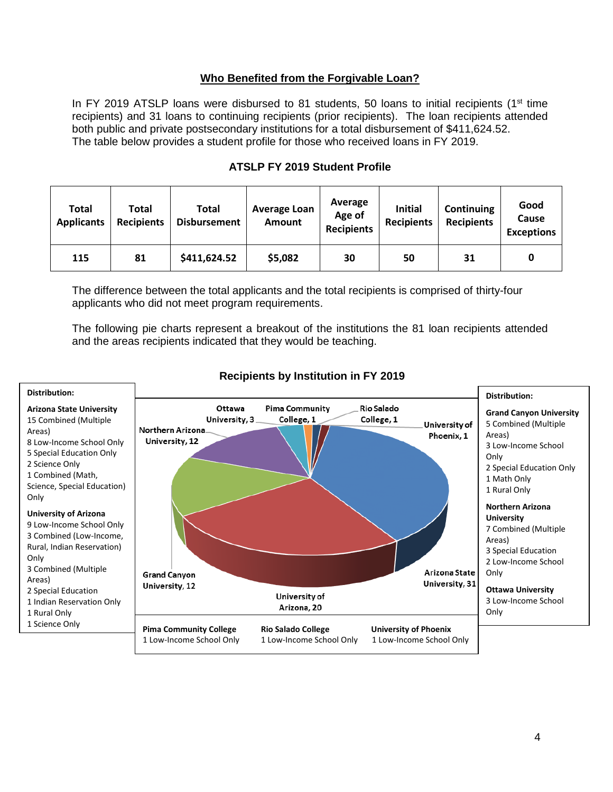#### **Who Benefited from the Forgivable Loan?**

In FY 2019 ATSLP loans were disbursed to 81 students, 50 loans to initial recipients ( $1<sup>st</sup>$  time recipients) and 31 loans to continuing recipients (prior recipients). The loan recipients attended both public and private postsecondary institutions for a total disbursement of \$411,624.52. The table below provides a student profile for those who received loans in FY 2019.

| Total<br><b>Applicants</b> | Total<br><b>Recipients</b> | Total<br><b>Disbursement</b> | <b>Average Loan</b><br><b>Amount</b> | Average<br>Age of<br><b>Recipients</b> | <b>Initial</b><br><b>Recipients</b> | <b>Continuing</b><br><b>Recipients</b> | Good<br>Cause<br><b>Exceptions</b> |
|----------------------------|----------------------------|------------------------------|--------------------------------------|----------------------------------------|-------------------------------------|----------------------------------------|------------------------------------|
| 115                        | 81                         | \$411,624.52                 | \$5,082                              | 30                                     | 50                                  | 31                                     | 0                                  |

### **ATSLP FY 2019 Student Profile**

The difference between the total applicants and the total recipients is comprised of thirty-four applicants who did not meet program requirements.

The following pie charts represent a breakout of the institutions the 81 loan recipients attended and the areas recipients indicated that they would be teaching.



### **Recipients by Institution in FY 2019**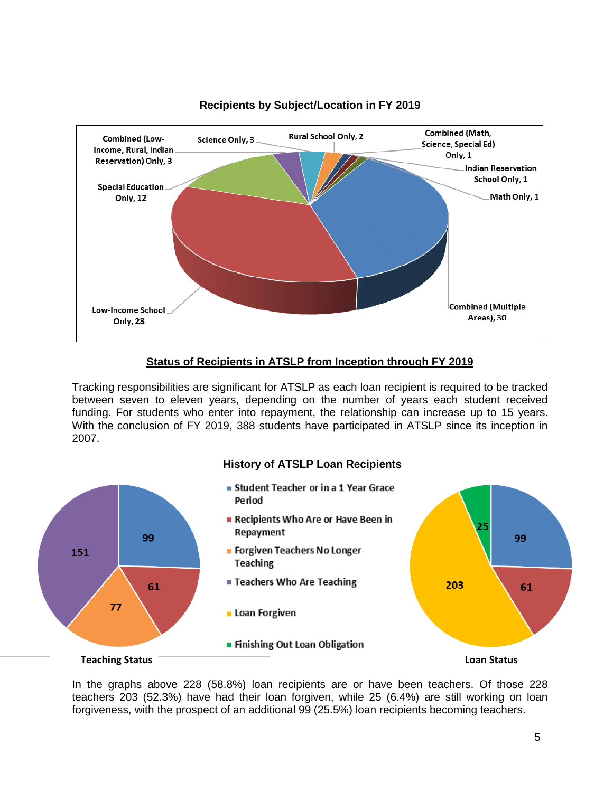

## **Recipients by Subject/Location in FY 2019**

#### **Status of Recipients in ATSLP from Inception through FY 2019**

Tracking responsibilities are significant for ATSLP as each loan recipient is required to be tracked between seven to eleven years, depending on the number of years each student received funding. For students who enter into repayment, the relationship can increase up to 15 years. With the conclusion of FY 2019, 388 students have participated in ATSLP since its inception in 2007.

#### **History of ATSLP Loan Recipients**



In the graphs above 228 (58.8%) loan recipients are or have been teachers. Of those 228 teachers 203 (52.3%) have had their loan forgiven, while 25 (6.4%) are still working on loan forgiveness, with the prospect of an additional 99 (25.5%) loan recipients becoming teachers.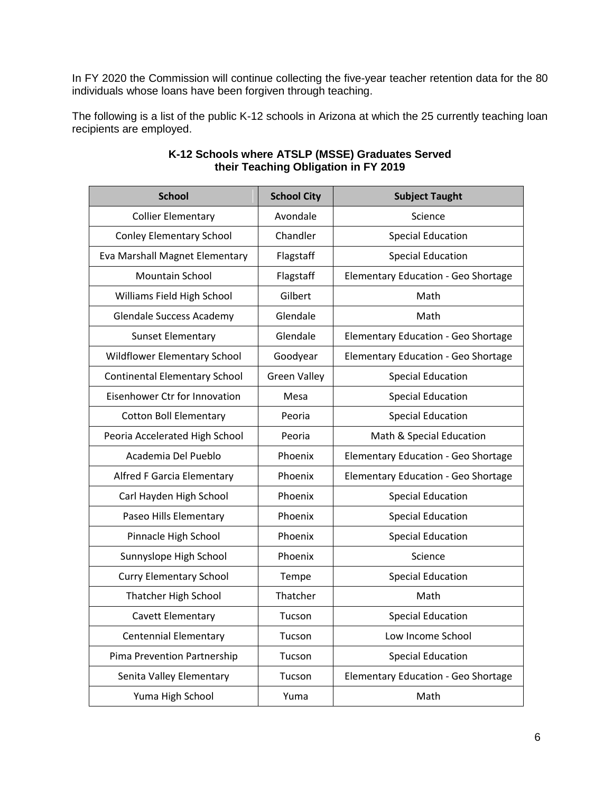In FY 2020 the Commission will continue collecting the five-year teacher retention data for the 80 individuals whose loans have been forgiven through teaching.

The following is a list of the public K-12 schools in Arizona at which the 25 currently teaching loan recipients are employed.

| <b>School</b>                        | <b>School City</b>  | <b>Subject Taught</b>               |  |
|--------------------------------------|---------------------|-------------------------------------|--|
| <b>Collier Elementary</b>            | Avondale            | Science                             |  |
| <b>Conley Elementary School</b>      | Chandler            | <b>Special Education</b>            |  |
| Eva Marshall Magnet Elementary       | Flagstaff           | <b>Special Education</b>            |  |
| <b>Mountain School</b>               | Flagstaff           | Elementary Education - Geo Shortage |  |
| Williams Field High School           | Gilbert             | Math                                |  |
| <b>Glendale Success Academy</b>      | Glendale            | Math                                |  |
| <b>Sunset Elementary</b>             | Glendale            | Elementary Education - Geo Shortage |  |
| Wildflower Elementary School         | Goodyear            | Elementary Education - Geo Shortage |  |
| <b>Continental Elementary School</b> | <b>Green Valley</b> | <b>Special Education</b>            |  |
| Eisenhower Ctr for Innovation        | Mesa                | <b>Special Education</b>            |  |
| <b>Cotton Boll Elementary</b>        | Peoria              | <b>Special Education</b>            |  |
| Peoria Accelerated High School       | Peoria              | Math & Special Education            |  |
| Academia Del Pueblo                  | Phoenix             | Elementary Education - Geo Shortage |  |
| Alfred F Garcia Elementary           | Phoenix             | Elementary Education - Geo Shortage |  |
| Carl Hayden High School              | Phoenix             | <b>Special Education</b>            |  |
| Paseo Hills Elementary               | Phoenix             | <b>Special Education</b>            |  |
| Pinnacle High School                 | Phoenix             | <b>Special Education</b>            |  |
| Sunnyslope High School               | Phoenix             | Science                             |  |
| <b>Curry Elementary School</b>       | Tempe               | <b>Special Education</b>            |  |
| Thatcher High School                 | Thatcher            | Math                                |  |
| Cavett Elementary                    | Tucson              | <b>Special Education</b>            |  |
| <b>Centennial Elementary</b>         | Tucson              | Low Income School                   |  |
| Pima Prevention Partnership          | Tucson              | <b>Special Education</b>            |  |
| Senita Valley Elementary             | Tucson              | Elementary Education - Geo Shortage |  |
| Yuma High School                     | Yuma                | Math                                |  |

#### **K-12 Schools where ATSLP (MSSE) Graduates Served their Teaching Obligation in FY 2019**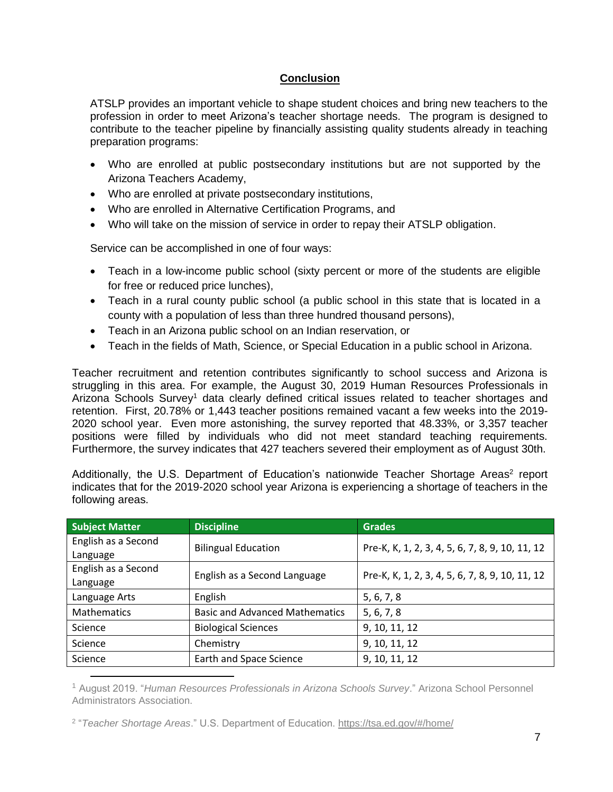### **Conclusion**

ATSLP provides an important vehicle to shape student choices and bring new teachers to the profession in order to meet Arizona's teacher shortage needs. The program is designed to contribute to the teacher pipeline by financially assisting quality students already in teaching preparation programs:

- Who are enrolled at public postsecondary institutions but are not supported by the Arizona Teachers Academy,
- Who are enrolled at private postsecondary institutions,
- Who are enrolled in Alternative Certification Programs, and
- Who will take on the mission of service in order to repay their ATSLP obligation.

Service can be accomplished in one of four ways:

- Teach in a low-income public school (sixty percent or more of the students are eligible for free or reduced price lunches),
- Teach in a rural county public school (a public school in this state that is located in a county with a population of less than three hundred thousand persons),
- Teach in an Arizona public school on an Indian reservation, or
- Teach in the fields of Math, Science, or Special Education in a public school in Arizona.

Teacher recruitment and retention contributes significantly to school success and Arizona is struggling in this area. For example, the August 30, 2019 Human Resources Professionals in Arizona Schools Survey<sup>1</sup> data clearly defined critical issues related to teacher shortages and retention. First, 20.78% or 1,443 teacher positions remained vacant a few weeks into the 2019- 2020 school year. Even more astonishing, the survey reported that 48.33%, or 3,357 teacher positions were filled by individuals who did not meet standard teaching requirements. Furthermore, the survey indicates that 427 teachers severed their employment as of August 30th.

Additionally, the U.S. Department of Education's nationwide Teacher Shortage Areas<sup>2</sup> report indicates that for the 2019-2020 school year Arizona is experiencing a shortage of teachers in the following areas.

| <b>Subject Matter</b> | <b>Discipline</b>                     | <b>Grades</b>                                   |  |  |
|-----------------------|---------------------------------------|-------------------------------------------------|--|--|
| English as a Second   | <b>Bilingual Education</b>            | Pre-K, K, 1, 2, 3, 4, 5, 6, 7, 8, 9, 10, 11, 12 |  |  |
| Language              |                                       |                                                 |  |  |
| English as a Second   | English as a Second Language          | Pre-K, K, 1, 2, 3, 4, 5, 6, 7, 8, 9, 10, 11, 12 |  |  |
| Language              |                                       |                                                 |  |  |
| Language Arts         | English                               | 5, 6, 7, 8                                      |  |  |
| <b>Mathematics</b>    | <b>Basic and Advanced Mathematics</b> | 5, 6, 7, 8                                      |  |  |
| Science               | <b>Biological Sciences</b>            | 9, 10, 11, 12                                   |  |  |
| Science               | Chemistry                             | 9, 10, 11, 12                                   |  |  |
| Science               | Earth and Space Science               | 9, 10, 11, 12                                   |  |  |

<sup>1</sup> August 2019. "*Human Resources Professionals in Arizona Schools Survey*." Arizona School Personnel Administrators Association.

2 "*Teacher Shortage Areas*." U.S. Department of Education.<https://tsa.ed.gov/#/home/>

 $\overline{\phantom{a}}$